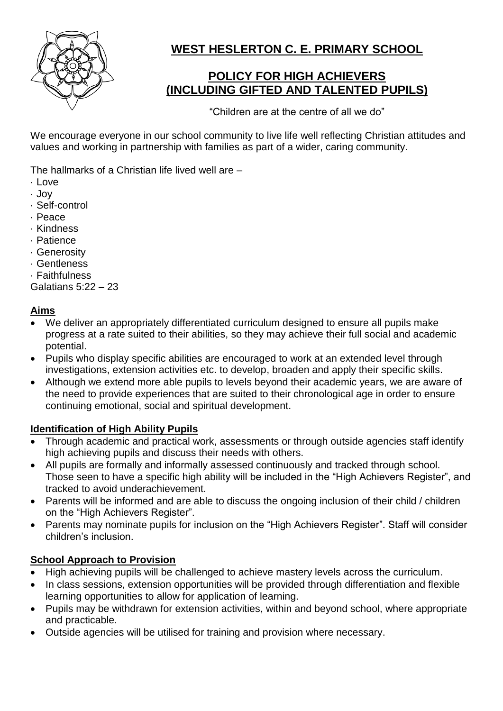

# **WEST HESLERTON C. E. PRIMARY SCHOOL**

# **POLICY FOR HIGH ACHIEVERS (INCLUDING GIFTED AND TALENTED PUPILS)**

"Children are at the centre of all we do"

We encourage everyone in our school community to live life well reflecting Christian attitudes and values and working in partnership with families as part of a wider, caring community.

The hallmarks of a Christian life lived well are –

- · Love
- · Joy
- · Self-control
- · Peace
- · Kindness
- · Patience
- · Generosity
- · Gentleness
- · Faithfulness

Galatians 5:22 – 23

### **Aims**

- We deliver an appropriately differentiated curriculum designed to ensure all pupils make progress at a rate suited to their abilities, so they may achieve their full social and academic potential.
- Pupils who display specific abilities are encouraged to work at an extended level through investigations, extension activities etc. to develop, broaden and apply their specific skills.
- Although we extend more able pupils to levels beyond their academic years, we are aware of the need to provide experiences that are suited to their chronological age in order to ensure continuing emotional, social and spiritual development.

### **Identification of High Ability Pupils**

- Through academic and practical work, assessments or through outside agencies staff identify high achieving pupils and discuss their needs with others.
- All pupils are formally and informally assessed continuously and tracked through school. Those seen to have a specific high ability will be included in the "High Achievers Register", and tracked to avoid underachievement.
- Parents will be informed and are able to discuss the ongoing inclusion of their child / children on the "High Achievers Register".
- Parents may nominate pupils for inclusion on the "High Achievers Register". Staff will consider children's inclusion.

## **School Approach to Provision**

- High achieving pupils will be challenged to achieve mastery levels across the curriculum.
- In class sessions, extension opportunities will be provided through differentiation and flexible learning opportunities to allow for application of learning.
- Pupils may be withdrawn for extension activities, within and beyond school, where appropriate and practicable.
- Outside agencies will be utilised for training and provision where necessary.